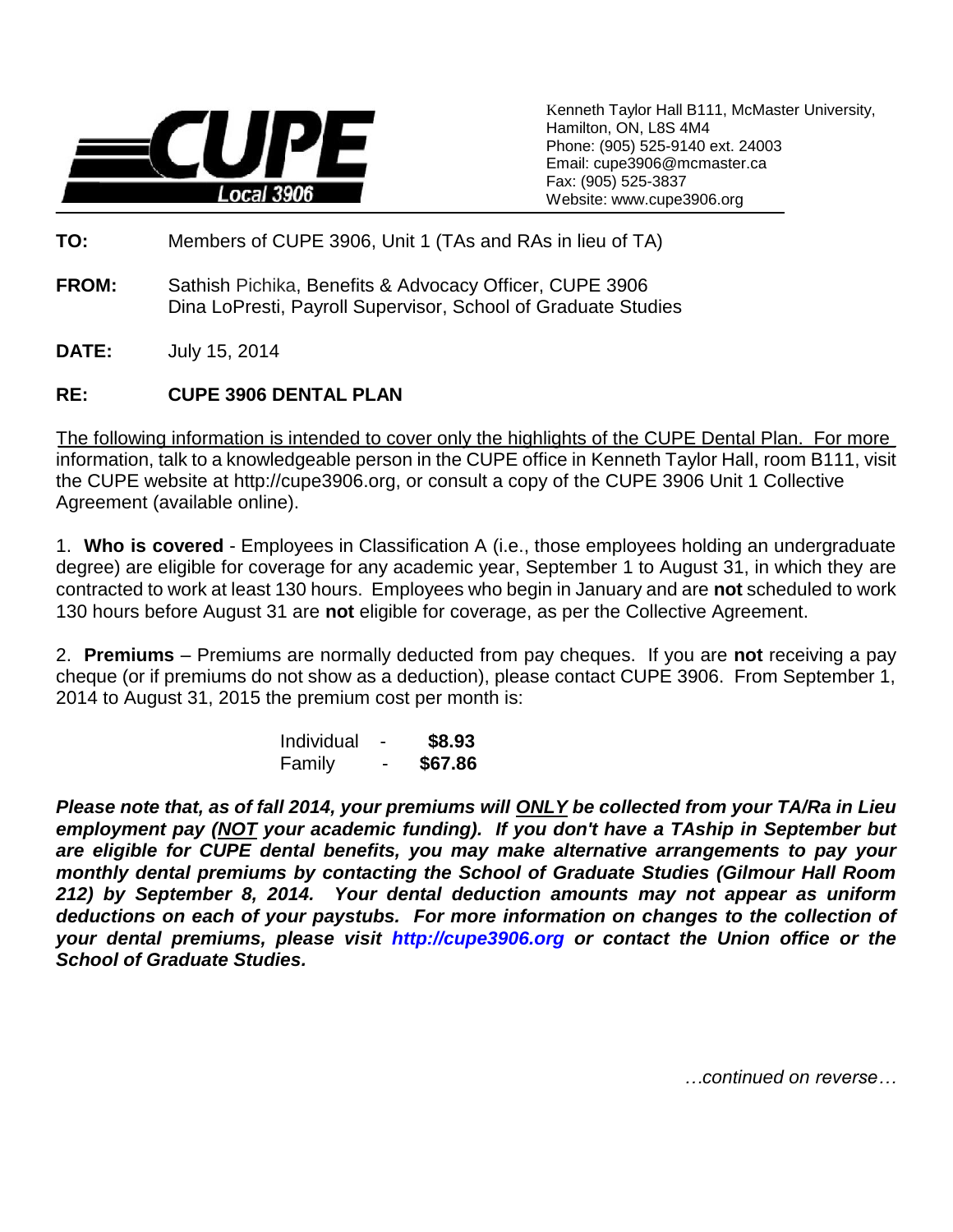

Kenneth Taylor Hall B111, McMaster University, Hamilton, ON, L8S 4M4 Phone: (905) 525-9140 ext. 24003 Email: cupe3906@mcmaster.ca Fax: (905) 525-3837 Website: www.cupe3906.org

- **TO:** Members of CUPE 3906, Unit 1 (TAs and RAs in lieu of TA)
- **FROM:** Sathish Pichika, Benefits & Advocacy Officer, CUPE 3906 Dina LoPresti, Payroll Supervisor, School of Graduate Studies
- **DATE:** July 15, 2014

### **RE: CUPE 3906 DENTAL PLAN**

The following information is intended to cover only the highlights of the CUPE Dental Plan. For more information, talk to a knowledgeable person in the CUPE office in Kenneth Taylor Hall, room B111, visit the CUPE website at http://cupe3906.org, or consult a copy of the CUPE 3906 Unit 1 Collective Agreement (available online).

1. **Who is covered** - Employees in Classification A (i.e., those employees holding an undergraduate degree) are eligible for coverage for any academic year, September 1 to August 31, in which they are contracted to work at least 130 hours. Employees who begin in January and are **not** scheduled to work 130 hours before August 31 are **not** eligible for coverage, as per the Collective Agreement.

2. **Premiums** – Premiums are normally deducted from pay cheques. If you are **not** receiving a pay cheque (or if premiums do not show as a deduction), please contact CUPE 3906. From September 1, 2014 to August 31, 2015 the premium cost per month is:

| Individual |   | \$8.93  |
|------------|---|---------|
| Family     | - | \$67.86 |

*Please note that, as of fall 2014, your premiums will ONLY be collected from your TA/Ra in Lieu employment pay (NOT your academic funding). If you don't have a TAship in September but are eligible for CUPE dental benefits, you may make alternative arrangements to pay your monthly dental premiums by contacting the School of Graduate Studies (Gilmour Hall Room 212) by September 8, 2014. Your dental deduction amounts may not appear as uniform deductions on each of your paystubs. For more information on changes to the collection of your dental premiums, please visit [http://cupe3906.org](http://cupe3906.org/) or contact the Union office or the School of Graduate Studies.*

*…continued on reverse…*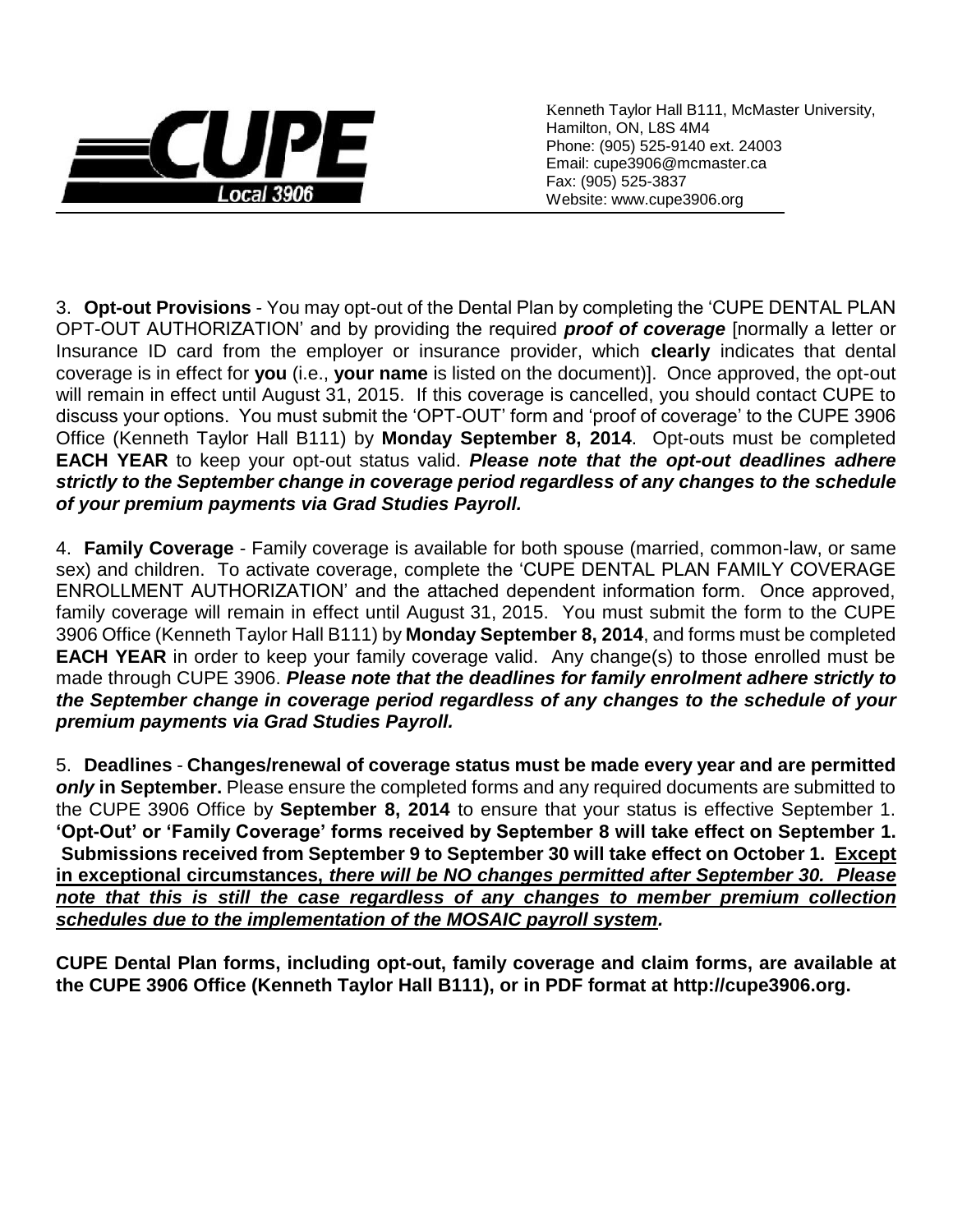

Kenneth Taylor Hall B111, McMaster University, Hamilton, ON, L8S 4M4 Phone: (905) 525-9140 ext. 24003 Email: cupe3906@mcmaster.ca Fax: (905) 525-3837 Website: www.cupe3906.org

3. **Opt-out Provisions** - You may opt-out of the Dental Plan by completing the 'CUPE DENTAL PLAN OPT-OUT AUTHORIZATION' and by providing the required *proof of coverage* [normally a letter or Insurance ID card from the employer or insurance provider, which **clearly** indicates that dental coverage is in effect for **you** (i.e., **your name** is listed on the document)]. Once approved, the opt-out will remain in effect until August 31, 2015. If this coverage is cancelled, you should contact CUPE to discuss your options. You must submit the 'OPT-OUT' form and 'proof of coverage' to the CUPE 3906 Office (Kenneth Taylor Hall B111) by **Monday September 8, 2014**. Opt-outs must be completed **EACH YEAR** to keep your opt-out status valid. *Please note that the opt-out deadlines adhere strictly to the September change in coverage period regardless of any changes to the schedule of your premium payments via Grad Studies Payroll.* 

4. **Family Coverage** - Family coverage is available for both spouse (married, common-law, or same sex) and children. To activate coverage, complete the 'CUPE DENTAL PLAN FAMILY COVERAGE ENROLLMENT AUTHORIZATION' and the attached dependent information form. Once approved, family coverage will remain in effect until August 31, 2015. You must submit the form to the CUPE 3906 Office (Kenneth Taylor Hall B111) by **Monday September 8, 2014**, and forms must be completed **EACH YEAR** in order to keep your family coverage valid. Any change(s) to those enrolled must be made through CUPE 3906. *Please note that the deadlines for family enrolment adhere strictly to the September change in coverage period regardless of any changes to the schedule of your premium payments via Grad Studies Payroll.* 

5. **Deadlines** - **Changes/renewal of coverage status must be made every year and are permitted**  *only* **in September.** Please ensure the completed forms and any required documents are submitted to the CUPE 3906 Office by **September 8, 2014** to ensure that your status is effective September 1. **'Opt-Out' or 'Family Coverage' forms received by September 8 will take effect on September 1. Submissions received from September 9 to September 30 will take effect on October 1. Except in exceptional circumstances,** *there will be NO changes permitted after September 30. Please note that this is still the case regardless of any changes to member premium collection schedules due to the implementation of the MOSAIC payroll system.*

**CUPE Dental Plan forms, including opt-out, family coverage and claim forms, are available at the CUPE 3906 Office (Kenneth Taylor Hall B111), or in PDF format at http://cupe3906.org.**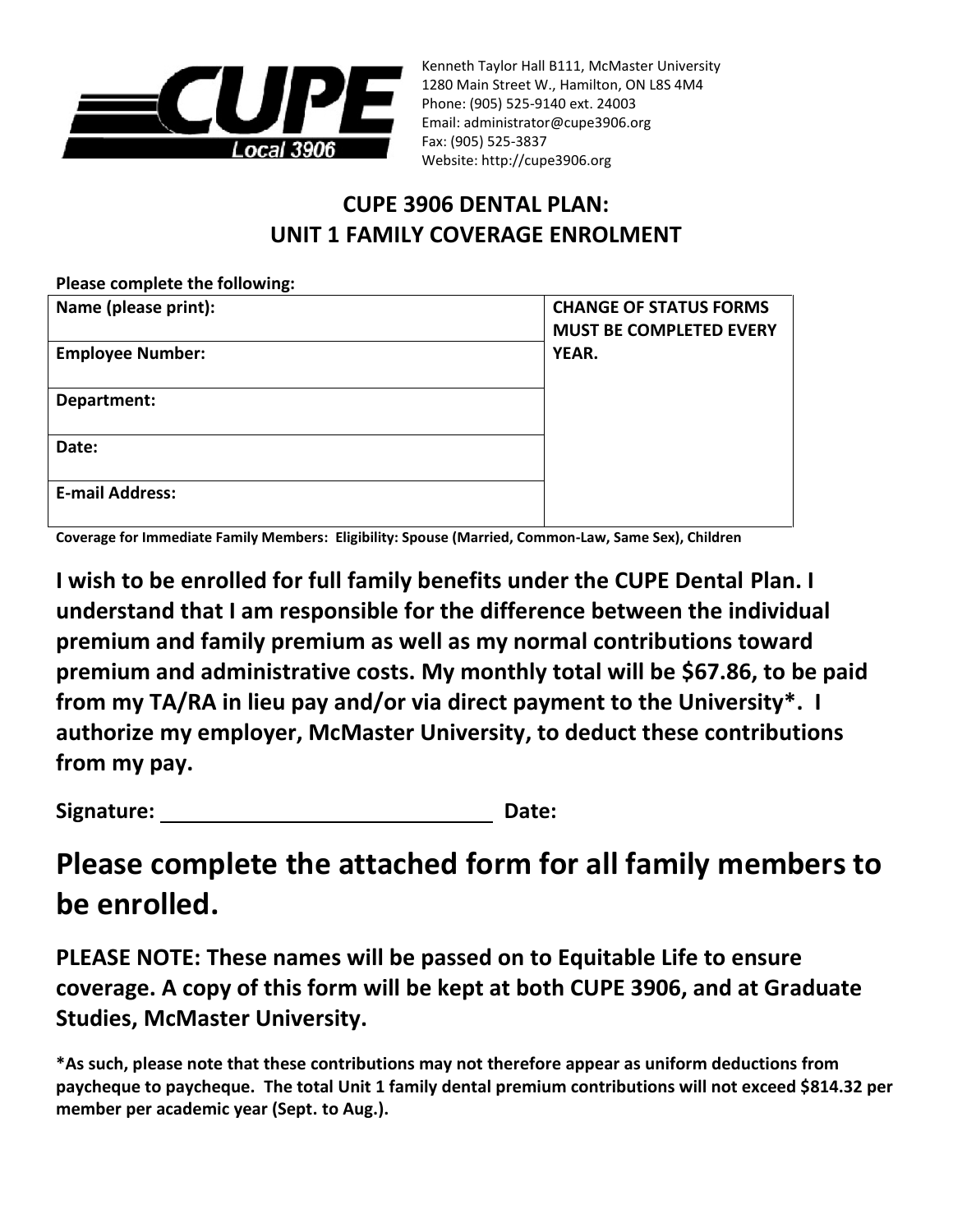

Kenneth Taylor Hall B111, McMaster University 1280 Main Street W., Hamilton, ON L8S 4M4 Phone: (905) 525-9140 ext. 24003 Email: administrator@cupe3906.org Fax: (905) 525-3837 Website: http://cupe3906.org

## **CUPE 3906 DENTAL PLAN: UNIT 1 FAMILY COVERAGE ENROLMENT**

| Please complete the following: |                                                                 |
|--------------------------------|-----------------------------------------------------------------|
| Name (please print):           | <b>CHANGE OF STATUS FORMS</b><br><b>MUST BE COMPLETED EVERY</b> |
| <b>Employee Number:</b>        | YEAR.                                                           |
| Department:                    |                                                                 |
| Date:                          |                                                                 |
| <b>E-mail Address:</b>         |                                                                 |

**Coverage for Immediate Family Members: Eligibility: Spouse (Married, Common-Law, Same Sex), Children**

**I wish to be enrolled for full family benefits under the CUPE Dental Plan. I understand that I am responsible for the difference between the individual premium and family premium as well as my normal contributions toward premium and administrative costs. My monthly total will be \$67.86, to be paid from my TA/RA in lieu pay and/or via direct payment to the University\*. I authorize my employer, McMaster University, to deduct these contributions from my pay.**

Signature: **Date: Date: Date: Date:** 

# **Please complete the attached form for all family members to be enrolled.**

**PLEASE NOTE: These names will be passed on to Equitable Life to ensure coverage. A copy of this form will be kept at both CUPE 3906, and at Graduate Studies, McMaster University.** 

**<sup>\*</sup>As such, please note that these contributions may not therefore appear as uniform deductions from paycheque to paycheque. The total Unit 1 family dental premium contributions will not exceed \$814.32 per member per academic year (Sept. to Aug.).**